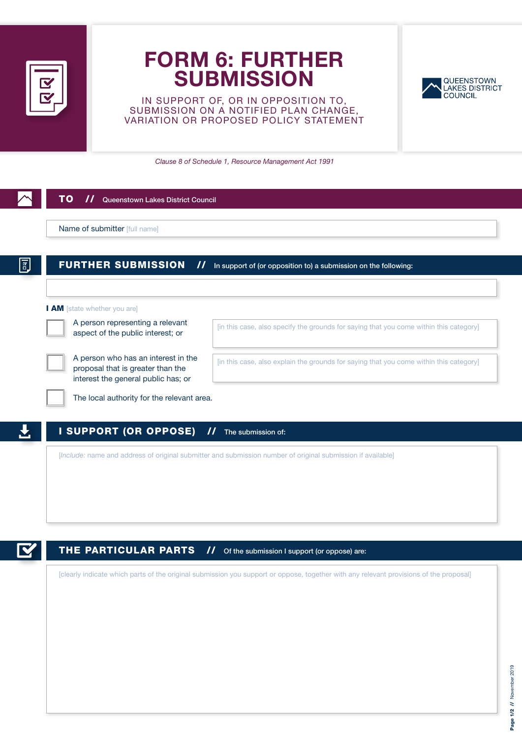

## FORM 6: FURTHER **SUBMISSION**

IN SUPPORT OF, OR IN OPPOSITION TO, SUBMISSION ON A NOTIFIED PLAN CHANGE, VARIATION OR PROPOSED POLICY STATEMENT



*Clause 8 of Schedule 1, Resource Management Act 1991*

| <b>FURTHER SUBMISSION</b><br>$\boldsymbol{\mathcal{H}}$                                                         | In support of (or opposition to) a submission on the following:                        |
|-----------------------------------------------------------------------------------------------------------------|----------------------------------------------------------------------------------------|
| I AM [state whether you are]                                                                                    |                                                                                        |
| A person representing a relevant<br>aspect of the public interest; or                                           | [in this case, also specify the grounds for saying that you come within this category] |
| A person who has an interest in the<br>proposal that is greater than the<br>interest the general public has; or | [in this case, also explain the grounds for saying that you come within this category] |
| The local authority for the relevant area.                                                                      |                                                                                        |



## THE PARTICULAR PARTS // Of the submission I support (or oppose) are:

[clearly indicate which parts of the original submission you support or oppose, together with any relevant provisions of the proposal]